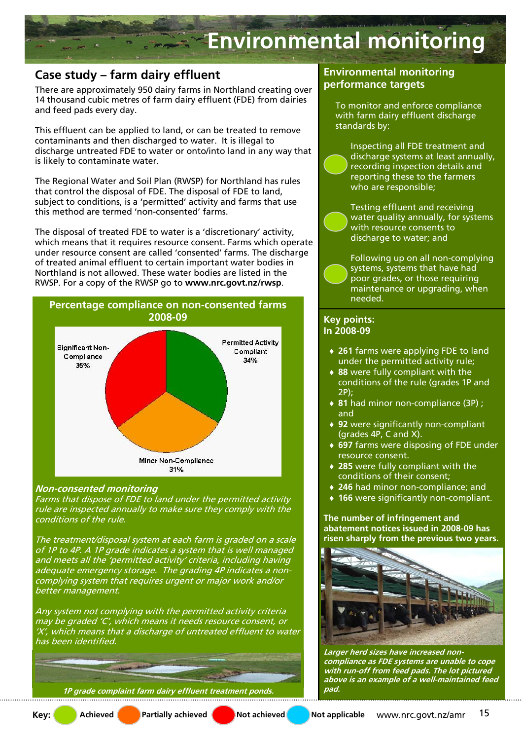

## **Case study – farm dairy effluent**

There are approximately 950 dairy farms in Northland creating over 14 thousand cubic metres of farm dairy effluent (FDE) from dairies and feed pads every day.

This effluent can be applied to land, or can be treated to remove contaminants and then discharged to water. It is illegal to discharge untreated FDE to water or onto/into land in any way that is likely to contaminate water.

The Regional Water and Soil Plan (RWSP) for Northland has rules that control the disposal of FDE. The disposal of FDE to land, subject to conditions, is a 'permitted' activity and farms that use this method are termed 'non-consented' farms.

The disposal of treated FDE to water is a 'discretionary' activity, which means that it requires resource consent. Farms which operate under resource consent are called 'consented' farms. The discharge of treated animal effluent to certain important water bodies in Northland is not allowed. These water bodies are listed in the RWSP. For a copy of the RWSP go to **www.nrc.govt.nz/rwsp**.



#### **Non-consented monitoring**

Farms that dispose of FDE to land under the permitted activity rule are inspected annually to make sure they comply with the conditions of the rule.

The treatment/disposal system at each farm is graded on a scale of 1P to 4P. A 1P grade indicates a system that is well managed and meets all the 'permitted activity' criteria, including having adequate emergency storage. The grading 4P indicates a noncomplying system that requires urgent or major work and/or better management.

Any system not complying with the permitted activity criteria may be graded 'C', which means it needs resource consent, or 'X', which means that a discharge of untreated effluent to water has been identified.

**1P grade complaint farm dairy effluent treatment ponds. pad.** 

#### **Environmental monitoring performance targets**

To monitor and enforce compliance with farm dairy effluent discharge standards by:

Inspecting all FDE treatment and discharge systems at least annually, recording inspection details and reporting these to the farmers who are responsible;

Testing effluent and receiving water quality annually, for systems with resource consents to discharge to water; and

Following up on all non-complying systems, systems that have had poor grades, or those requiring maintenance or upgrading, when needed.

# **In 2008-09**

- ♦ **261** farms were applying FDE to land under the permitted activity rule;
- ♦ **88** were fully compliant with the conditions of the rule (grades 1P and 2P);
- ♦ **81** had minor non-compliance (3P) ; and
- ♦ **92** were significantly non-compliant (grades  $4P$ , C and X).
- ♦ **697** farms were disposing of FDE under resource consent.
- ♦ **285** were fully compliant with the conditions of their consent;
- ♦ **246** had minor non-compliance; and
- **166** were significantly non-compliant.

**The number of infringement and abatement notices issued in 2008-09 has risen sharply from the previous two years.**



**Larger herd sizes have increased noncompliance as FDE systems are unable to cope with run-off from feed pads. The lot pictured above is an example of a well-maintained feed** 

**Key:** Achieved **Partially achieved** Not achieved Not applicable